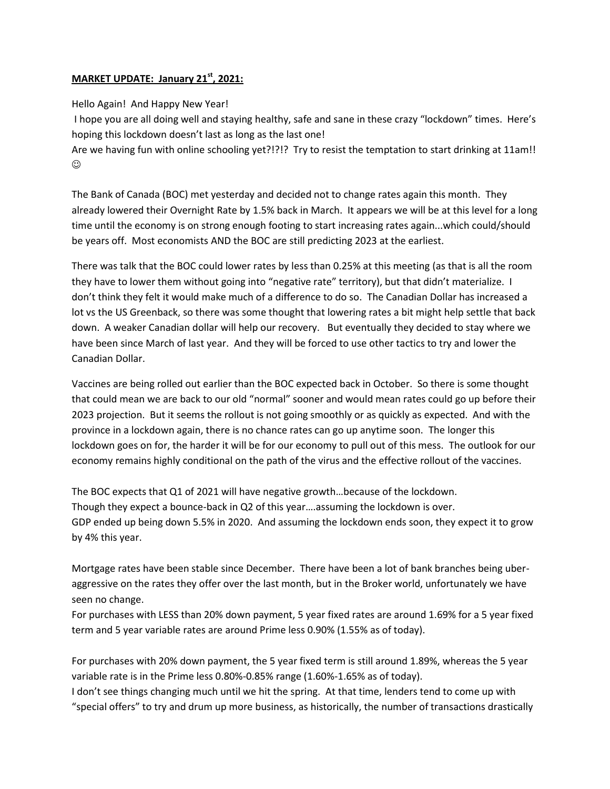## **MARKET UPDATE: January 21st, 2021:**

Hello Again! And Happy New Year!

I hope you are all doing well and staying healthy, safe and sane in these crazy "lockdown" times. Here's hoping this lockdown doesn't last as long as the last one!

Are we having fun with online schooling yet?!?!? Try to resist the temptation to start drinking at 11am!!  $\odot$ 

The Bank of Canada (BOC) met yesterday and decided not to change rates again this month. They already lowered their Overnight Rate by 1.5% back in March. It appears we will be at this level for a long time until the economy is on strong enough footing to start increasing rates again...which could/should be years off. Most economists AND the BOC are still predicting 2023 at the earliest.

There was talk that the BOC could lower rates by less than 0.25% at this meeting (as that is all the room they have to lower them without going into "negative rate" territory), but that didn't materialize. I don't think they felt it would make much of a difference to do so. The Canadian Dollar has increased a lot vs the US Greenback, so there was some thought that lowering rates a bit might help settle that back down. A weaker Canadian dollar will help our recovery. But eventually they decided to stay where we have been since March of last year. And they will be forced to use other tactics to try and lower the Canadian Dollar.

Vaccines are being rolled out earlier than the BOC expected back in October. So there is some thought that could mean we are back to our old "normal" sooner and would mean rates could go up before their 2023 projection. But it seems the rollout is not going smoothly or as quickly as expected. And with the province in a lockdown again, there is no chance rates can go up anytime soon. The longer this lockdown goes on for, the harder it will be for our economy to pull out of this mess. The outlook for our economy remains highly conditional on the path of the virus and the effective rollout of the vaccines.

The BOC expects that Q1 of 2021 will have negative growth…because of the lockdown. Though they expect a bounce-back in Q2 of this year….assuming the lockdown is over. GDP ended up being down 5.5% in 2020. And assuming the lockdown ends soon, they expect it to grow by 4% this year.

Mortgage rates have been stable since December. There have been a lot of bank branches being uberaggressive on the rates they offer over the last month, but in the Broker world, unfortunately we have seen no change.

For purchases with LESS than 20% down payment, 5 year fixed rates are around 1.69% for a 5 year fixed term and 5 year variable rates are around Prime less 0.90% (1.55% as of today).

For purchases with 20% down payment, the 5 year fixed term is still around 1.89%, whereas the 5 year variable rate is in the Prime less 0.80%-0.85% range (1.60%-1.65% as of today).

I don't see things changing much until we hit the spring. At that time, lenders tend to come up with "special offers" to try and drum up more business, as historically, the number of transactions drastically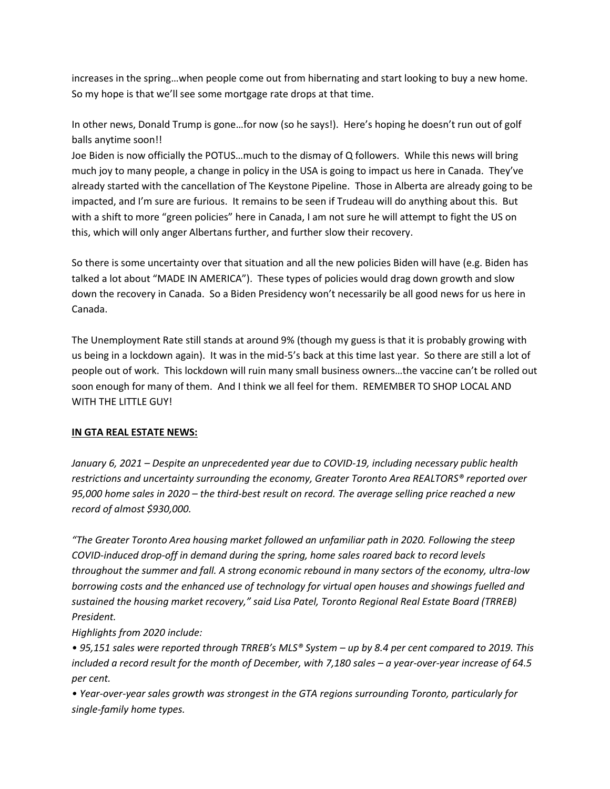increases in the spring…when people come out from hibernating and start looking to buy a new home. So my hope is that we'll see some mortgage rate drops at that time.

In other news, Donald Trump is gone…for now (so he says!). Here's hoping he doesn't run out of golf balls anytime soon!!

Joe Biden is now officially the POTUS…much to the dismay of Q followers. While this news will bring much joy to many people, a change in policy in the USA is going to impact us here in Canada. They've already started with the cancellation of The Keystone Pipeline. Those in Alberta are already going to be impacted, and I'm sure are furious. It remains to be seen if Trudeau will do anything about this. But with a shift to more "green policies" here in Canada, I am not sure he will attempt to fight the US on this, which will only anger Albertans further, and further slow their recovery.

So there is some uncertainty over that situation and all the new policies Biden will have (e.g. Biden has talked a lot about "MADE IN AMERICA"). These types of policies would drag down growth and slow down the recovery in Canada. So a Biden Presidency won't necessarily be all good news for us here in Canada.

The Unemployment Rate still stands at around 9% (though my guess is that it is probably growing with us being in a lockdown again). It was in the mid-5's back at this time last year. So there are still a lot of people out of work. This lockdown will ruin many small business owners…the vaccine can't be rolled out soon enough for many of them. And I think we all feel for them. REMEMBER TO SHOP LOCAL AND WITH THE LITTLE GUY!

## **IN GTA REAL ESTATE NEWS:**

*January 6, 2021 – Despite an unprecedented year due to COVID-19, including necessary public health restrictions and uncertainty surrounding the economy, Greater Toronto Area REALTORS® reported over 95,000 home sales in 2020 – the third-best result on record. The average selling price reached a new record of almost \$930,000.* 

*"The Greater Toronto Area housing market followed an unfamiliar path in 2020. Following the steep COVID-induced drop-off in demand during the spring, home sales roared back to record levels throughout the summer and fall. A strong economic rebound in many sectors of the economy, ultra-low borrowing costs and the enhanced use of technology for virtual open houses and showings fuelled and sustained the housing market recovery," said Lisa Patel, Toronto Regional Real Estate Board (TRREB) President.* 

*Highlights from 2020 include:* 

*• 95,151 sales were reported through TRREB's MLS® System – up by 8.4 per cent compared to 2019. This included a record result for the month of December, with 7,180 sales - a year-over-year increase of 64.5 per cent.* 

*• Year-over-year sales growth was strongest in the GTA regions surrounding Toronto, particularly for single-family home types.*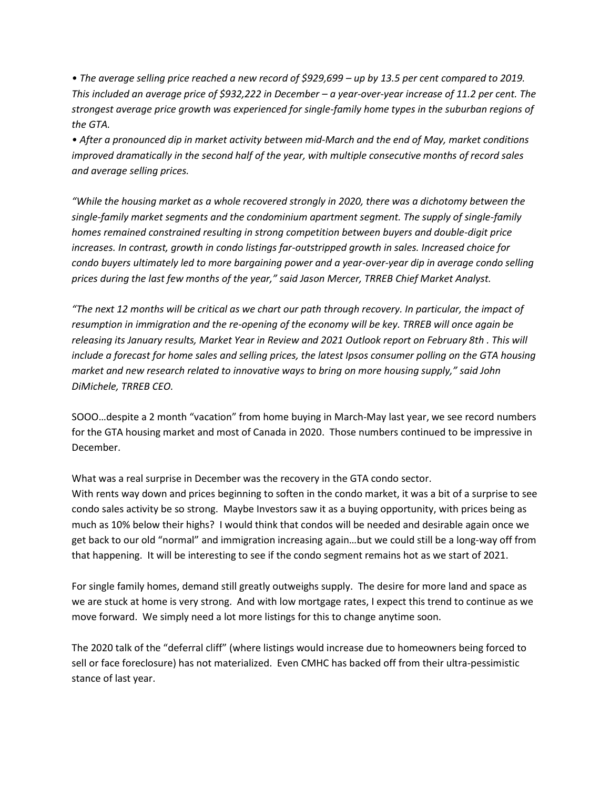*• The average selling price reached a new record of \$929,699 – up by 13.5 per cent compared to 2019. This included an average price of \$932,222 in December – a year-over-year increase of 11.2 per cent. The strongest average price growth was experienced for single-family home types in the suburban regions of the GTA.* 

*• After a pronounced dip in market activity between mid-March and the end of May, market conditions improved dramatically in the second half of the year, with multiple consecutive months of record sales and average selling prices.* 

*"While the housing market as a whole recovered strongly in 2020, there was a dichotomy between the single-family market segments and the condominium apartment segment. The supply of single-family homes remained constrained resulting in strong competition between buyers and double-digit price increases. In contrast, growth in condo listings far-outstripped growth in sales. Increased choice for condo buyers ultimately led to more bargaining power and a year-over-year dip in average condo selling prices during the last few months of the year," said Jason Mercer, TRREB Chief Market Analyst.* 

*"The next 12 months will be critical as we chart our path through recovery. In particular, the impact of resumption in immigration and the re-opening of the economy will be key. TRREB will once again be releasing its January results, Market Year in Review and 2021 Outlook report on February 8th . This will include a forecast for home sales and selling prices, the latest Ipsos consumer polling on the GTA housing market and new research related to innovative ways to bring on more housing supply," said John DiMichele, TRREB CEO.*

SOOO…despite a 2 month "vacation" from home buying in March-May last year, we see record numbers for the GTA housing market and most of Canada in 2020. Those numbers continued to be impressive in December.

What was a real surprise in December was the recovery in the GTA condo sector. With rents way down and prices beginning to soften in the condo market, it was a bit of a surprise to see condo sales activity be so strong. Maybe Investors saw it as a buying opportunity, with prices being as much as 10% below their highs? I would think that condos will be needed and desirable again once we get back to our old "normal" and immigration increasing again…but we could still be a long-way off from that happening. It will be interesting to see if the condo segment remains hot as we start of 2021.

For single family homes, demand still greatly outweighs supply. The desire for more land and space as we are stuck at home is very strong. And with low mortgage rates, I expect this trend to continue as we move forward. We simply need a lot more listings for this to change anytime soon.

The 2020 talk of the "deferral cliff" (where listings would increase due to homeowners being forced to sell or face foreclosure) has not materialized. Even CMHC has backed off from their ultra-pessimistic stance of last year.